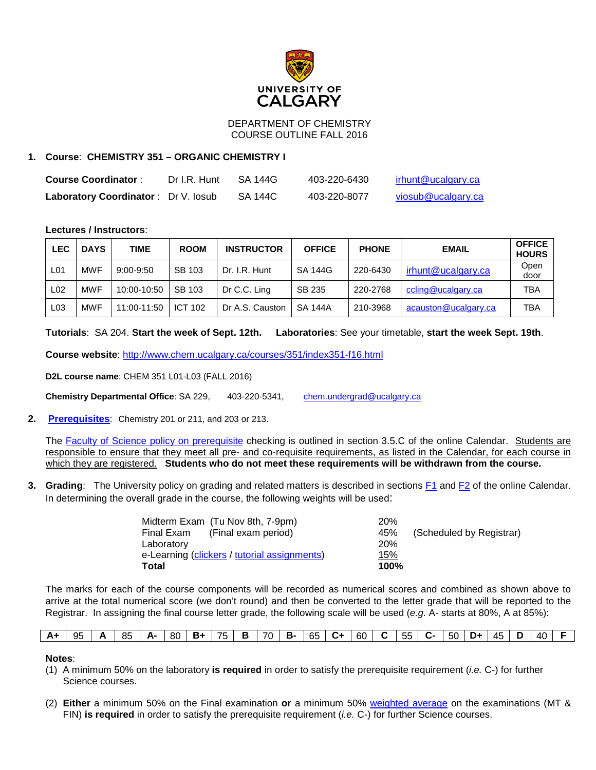

### DEPARTMENT OF CHEMISTRY COURSE OUTLINE FALL 2016

# **1. Course**: **CHEMISTRY 351 – ORGANIC CHEMISTRY I**

| <b>Course Coordinator:</b>                 | Dr I.R. Hunt | SA 144G | 403-220-6430 | irhunt@ucalgary.ca |
|--------------------------------------------|--------------|---------|--------------|--------------------|
| <b>Laboratory Coordinator: Dr V. losub</b> |              | SA 144C | 403-220-8077 | viosub@ucalgary.ca |

## **Lectures / Instructors**:

| <b>LEC</b> | <b>DAYS</b> | TIME          | <b>ROOM</b>    | <b>INSTRUCTOR</b> | <b>OFFICE</b>  | <b>PHONE</b> | <b>EMAIL</b>         | <b>OFFICE</b><br><b>HOURS</b> |
|------------|-------------|---------------|----------------|-------------------|----------------|--------------|----------------------|-------------------------------|
| L01        | <b>MWF</b>  | $9:00 - 9:50$ | SB 103         | Dr. I.R. Hunt     | <b>SA 144G</b> | 220-6430     | irhunt@ucalgary.ca   | Open<br>door                  |
| L02        | <b>MWF</b>  | 10:00-10:50   | SB 103         | Dr C.C. Ling      | SB 235         | 220-2768     | ccling@ucalgary.ca   | TBA                           |
| L03        | <b>MWF</b>  | 11:00-11:50   | <b>ICT 102</b> | Dr A.S. Causton   | <b>SA 144A</b> | 210-3968     | acauston@ucalgary.ca | TBA                           |

**Tutorials**: SA 204. **Start the week of Sept. 12th. Laboratories**: See your timetable, **start the week Sept. 19th**.

**Course website**:<http://www.chem.ucalgary.ca/courses/351/index351-f16.html>

**D2L course name**: CHEM 351 L01-L03 (FALL 2016)

**Chemistry Departmental Office**: SA 229, 403-220-5341, [chem.undergrad@ucalgary.ca](mailto:chem.undergrad@ucalgary.ca)

**2. [Prerequisites](http://www.ucalgary.ca/pubs/calendar/current/chemistry.html#6517)**: Chemistry 201 or 211, and 203 or 213.

The [Faculty of Science policy on prerequisite](http://www.ucalgary.ca/pubs/calendar/current/sc-3-5.html) checking is outlined in section 3.5.C of the online Calendar. Students are responsible to ensure that they meet all pre- and co-requisite requirements, as listed in the Calendar, for each course in which they are registered. **Students who do not meet these requirements will be withdrawn from the course.**

**3. Grading**: The University policy on grading and related matters is described in sections **F1** and **F2** of the online Calendar. In determining the overall grade in the course, the following weights will be used:

| Midterm Exam (Tu Nov 8th, 7-9pm)             | 20%        |                          |
|----------------------------------------------|------------|--------------------------|
| Final Exam (Final exam period)               | 45%        | (Scheduled by Registrar) |
| Laboratory                                   | <b>20%</b> |                          |
| e-Learning (clickers / tutorial assignments) | <u>15%</u> |                          |
| <b>Total</b>                                 | 100%       |                          |

The marks for each of the course components will be recorded as numerical scores and combined as shown above to arrive at the total numerical score (we don't round) and then be converted to the letter grade that will be reported to the Registrar. In assigning the final course letter grade, the following scale will be used (*e.g.* A- starts at 80%, A at 85%):

| $A+$   95   A   85   A   80   B +   75   B   70   B -   65   C +   60   C   55   C -   50   D +   45   D   40   F |  |  |  |  |  |  |  |  |  |  |  |
|-------------------------------------------------------------------------------------------------------------------|--|--|--|--|--|--|--|--|--|--|--|
|                                                                                                                   |  |  |  |  |  |  |  |  |  |  |  |

### **Notes**:

- (1) A minimum 50% on the laboratory **is required** in order to satisfy the prerequisite requirement (*i.e.* C-) for further Science courses.
- (2) **Either** a minimum 50% on the Final examination **or** a minimum 50% [weighted average](http://www.chem.ucalgary.ca/courses/350/weighted_average.html) on the examinations (MT & FIN) **is required** in order to satisfy the prerequisite requirement (*i.e.* C-) for further Science courses.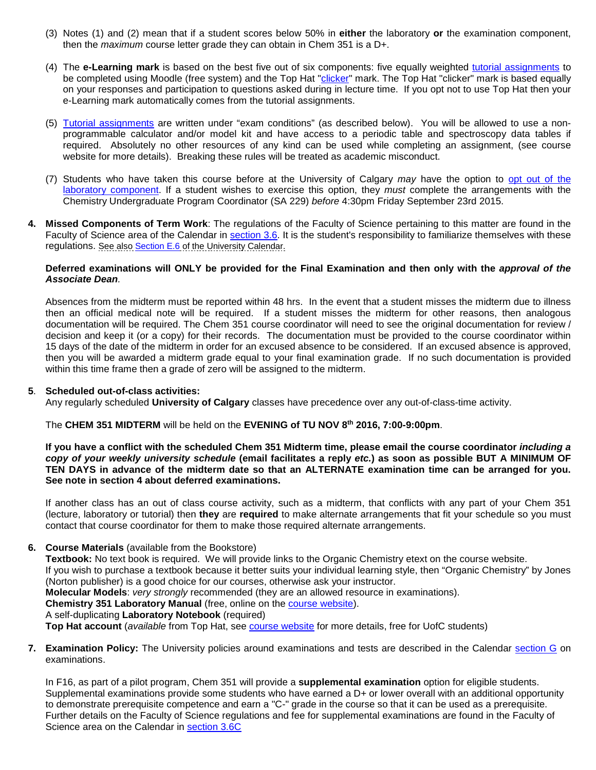- (3) Notes (1) and (2) mean that if a student scores below 50% in **either** the laboratory **or** the examination component, then the *maximum* course letter grade they can obtain in Chem 351 is a D+.
- (4) The **e-Learning mark** is based on the best five out of six components: five equally weighted [tutorial assignments](http://www.chem.ucalgary.ca/courses/350/351assignments_F16.html) to be completed using Moodle (free system) and the Top Hat ["clicker"](http://www.chem.ucalgary.ca/courses/351/clickers.html) mark. The Top Hat "clicker" mark is based equally on your responses and participation to questions asked during in lecture time. If you opt not to use Top Hat then your e-Learning mark automatically comes from the tutorial assignments.
- (5) [Tutorial assignments](http://www.chem.ucalgary.ca/courses/350/351assignments_F16.html) are written under "exam conditions" (as described below). You will be allowed to use a nonprogrammable calculator and/or model kit and have access to a periodic table and spectroscopy data tables if required. Absolutely no other resources of any kind can be used while completing an assignment, (see course website for more details). Breaking these rules will be treated as academic misconduct.
- (7) Students who have taken this course before at the University of Calgary *may* have the option to [opt out of the](http://www.chem.ucalgary.ca/courses/351/laboratory/labopt.html)  [laboratory component.](http://www.chem.ucalgary.ca/courses/351/laboratory/labopt.html) If a student wishes to exercise this option, they *must* complete the arrangements with the Chemistry Undergraduate Program Coordinator (SA 229) *before* 4:30pm Friday September 23rd 2015.
- **4. Missed Components of Term Work**: The regulations of the Faculty of Science pertaining to this matter are found in the Faculty of Science area of the Calendar in [section 3.6.](http://www.ucalgary.ca/pubs/calendar/current/sc-3-6.html) It is the student's responsibility to familiarize themselves with these regulations. See also [Section E.6](http://www.ucalgary.ca/pubs/calendar/current/e-3.html) of the University Calendar.

### **Deferred examinations will ONLY be provided for the Final Examination and then only with the** *approval of the Associate Dean.*

Absences from the midterm must be reported within 48 hrs. In the event that a student misses the midterm due to illness then an official medical note will be required. If a student misses the midterm for other reasons, then analogous documentation will be required. The Chem 351 course coordinator will need to see the original documentation for review / decision and keep it (or a copy) for their records. The documentation must be provided to the course coordinator within 15 days of the date of the midterm in order for an excused absence to be considered. If an excused absence is approved, then you will be awarded a midterm grade equal to your final examination grade. If no such documentation is provided within this time frame then a grade of zero will be assigned to the midterm.

### **5**. **Scheduled out-of-class activities:**

Any regularly scheduled **University of Calgary** classes have precedence over any out-of-class-time activity.

The **CHEM 351 MIDTERM** will be held on the **EVENING of TU NOV 8th 2016, 7:00-9:00pm**.

**If you have a conflict with the scheduled Chem 351 Midterm time, please email the course coordinator** *including a copy of your weekly university schedule* **(email facilitates a reply** *etc.***) as soon as possible BUT A MINIMUM OF TEN DAYS in advance of the midterm date so that an ALTERNATE examination time can be arranged for you. See note in section 4 about deferred examinations.**

If another class has an out of class course activity, such as a midterm, that conflicts with any part of your Chem 351 (lecture, laboratory or tutorial) then **they** are **required** to make alternate arrangements that fit your schedule so you must contact that course coordinator for them to make those required alternate arrangements.

### **6. Course Materials** (available from the Bookstore)

**Textbook:** No text book is required. We will provide links to the Organic Chemistry etext on the course website.

If you wish to purchase a textbook because it better suits your individual learning style, then "Organic Chemistry" by Jones (Norton publisher) is a good choice for our courses, otherwise ask your instructor.

**Molecular Models**: *very strongly* recommended (they are an allowed resource in examinations).

**Chemistry 351 Laboratory Manual** (free, online on the [course website\)](http://www.chem.ucalgary.ca/courses/350/index351-f16.html).

A self-duplicating **Laboratory Notebook** (required)

**Top Hat account** (*available* from Top Hat, see [course website](http://www.chem.ucalgary.ca/courses/350/index351-f16.html) for more details, free for UofC students)

**7. Examination Policy:** The University policies around examinations and tests are described in the Calendar [section G](http://www.ucalgary.ca/pubs/calendar/current/g.html) on examinations.

In F16, as part of a pilot program, Chem 351 will provide a **supplemental examination** option for eligible students. Supplemental examinations provide some students who have earned a D+ or lower overall with an additional opportunity to demonstrate prerequisite competence and earn a "C-" grade in the course so that it can be used as a prerequisite. Further details on the Faculty of Science regulations and fee for supplemental examinations are found in the Faculty of Science area on the Calendar in [section 3.6C](http://www.ucalgary.ca/pubs/calendar/current/sc-3-6.htm)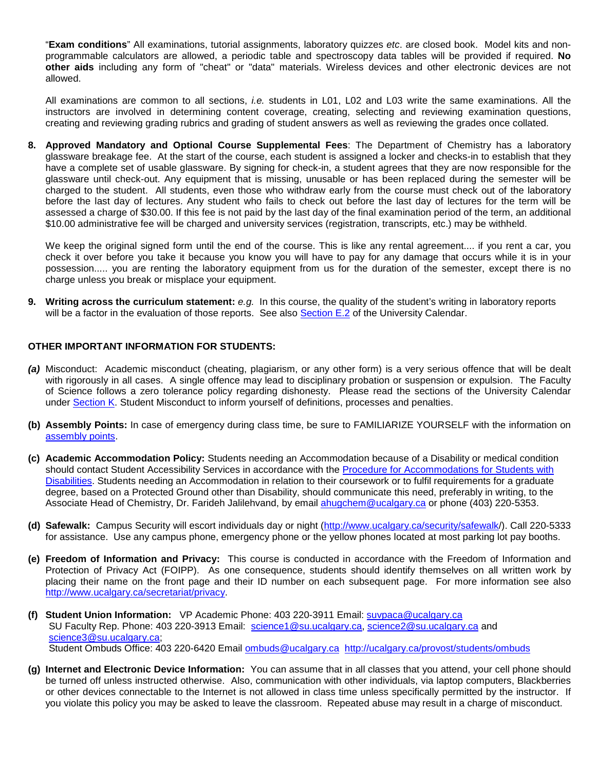"**Exam conditions**" All examinations, tutorial assignments, laboratory quizzes *etc*. are closed book. Model kits and nonprogrammable calculators are allowed, a periodic table and spectroscopy data tables will be provided if required. **No other aids** including any form of "cheat" or "data" materials. Wireless devices and other electronic devices are not allowed.

All examinations are common to all sections, *i.e.* students in L01, L02 and L03 write the same examinations. All the instructors are involved in determining content coverage, creating, selecting and reviewing examination questions, creating and reviewing grading rubrics and grading of student answers as well as reviewing the grades once collated.

**8. Approved Mandatory and Optional Course Supplemental Fees**: The Department of Chemistry has a laboratory glassware breakage fee. At the start of the course, each student is assigned a locker and checks-in to establish that they have a complete set of usable glassware. By signing for check-in, a student agrees that they are now responsible for the glassware until check-out. Any equipment that is missing, unusable or has been replaced during the semester will be charged to the student. All students, even those who withdraw early from the course must check out of the laboratory before the last day of lectures. Any student who fails to check out before the last day of lectures for the term will be assessed a charge of \$30.00. If this fee is not paid by the last day of the final examination period of the term, an additional \$10.00 administrative fee will be charged and university services (registration, transcripts, etc.) may be withheld.

We keep the original signed form until the end of the course. This is like any rental agreement.... if you rent a car, you check it over before you take it because you know you will have to pay for any damage that occurs while it is in your possession..... you are renting the laboratory equipment from us for the duration of the semester, except there is no charge unless you break or misplace your equipment.

**9. Writing across the curriculum statement:** *e.g.* In this course, the quality of the student's writing in laboratory reports will be a factor in the evaluation of those reports. See also [Section E.2](http://www.ucalgary.ca/pubs/calendar/current/e-2.html) of the University Calendar.

### **OTHER IMPORTANT INFORMATION FOR STUDENTS:**

- *(a)* Misconduct: Academic misconduct (cheating, plagiarism, or any other form) is a very serious offence that will be dealt with rigorously in all cases. A single offence may lead to disciplinary probation or suspension or expulsion. The Faculty of Science follows a zero tolerance policy regarding dishonesty. Please read the sections of the University Calendar under [Section K.](http://www.ucalgary.ca/pubs/calendar/current/k.html) Student Misconduct to inform yourself of definitions, processes and penalties.
- **(b) Assembly Points:** In case of emergency during class time, be sure to FAMILIARIZE YOURSELF with the information on [assembly points.](http://www.ucalgary.ca/emergencyplan/assemblypoints)
- **(c) Academic Accommodation Policy:** Students needing an Accommodation because of a Disability or medical condition should contact Student Accessibility Services in accordance with the [Procedure for Accommodations for Students with](http://www.ucalgary.ca/policies/files/policies/procedure-for-accommodations-for-students-with-disabilities_0.pdf)  [Disabilities.](http://www.ucalgary.ca/policies/files/policies/procedure-for-accommodations-for-students-with-disabilities_0.pdf) Students needing an Accommodation in relation to their coursework or to fulfil requirements for a graduate degree, based on a Protected Ground other than Disability, should communicate this need, preferably in writing, to the Associate Head of Chemistry, Dr. Farideh Jalilehvand, by email [ahugchem@ucalgary.ca](mailto:ahugchem@ucalgary.ca) or phone (403) 220-5353.
- **(d) Safewalk:** Campus Security will escort individuals day or night [\(http://www.ucalgary.ca/security/safewalk/](http://www.ucalgary.ca/security/safewalk/)). Call 220-5333 for assistance. Use any campus phone, emergency phone or the yellow phones located at most parking lot pay booths.
- **(e) Freedom of Information and Privacy:** This course is conducted in accordance with the Freedom of Information and Protection of Privacy Act (FOIPP). As one consequence, students should identify themselves on all written work by placing their name on the front page and their ID number on each subsequent page. For more information see also [http://www.ucalgary.ca/secretariat/privacy.](http://www.ucalgary.ca/secretariat/privacy)
- **(f) Student Union Information:** VP Academic Phone: 403 220-3911 Email: [suvpaca@ucalgary.ca](mailto:suvpaca@ucalgary.ca) SU Faculty Rep. Phone: 403 220-3913 Email: [science1@su.ucalgary.ca,](mailto:science1@su.ucalgary.ca) [science2@su.ucalgary.ca](mailto:science2@su.ucalgary.ca) and [science3@su.ucalgary.ca;](mailto:science3@su.ucalgary.ca) Student Ombuds Office: 403 220-6420 Email [ombuds@ucalgary.ca](mailto:ombuds@ucalgary.ca) <http://ucalgary.ca/provost/students/ombuds>
- **(g) Internet and Electronic Device Information:** You can assume that in all classes that you attend, your cell phone should be turned off unless instructed otherwise. Also, communication with other individuals, via laptop computers, Blackberries or other devices connectable to the Internet is not allowed in class time unless specifically permitted by the instructor. If you violate this policy you may be asked to leave the classroom. Repeated abuse may result in a charge of misconduct.